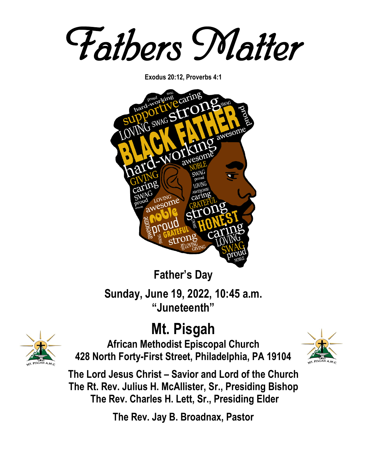*Fathers Matter* 

**Exodus 20:12, Proverbs 4:1**



**Father's Day Sunday, June 19, 2022, 10:45 a.m. "Juneteenth"**

# **Mt. Pisgah**



**African Methodist Episcopal Church 428 North Forty-First Street, Philadelphia, PA 19104**



**The Lord Jesus Christ – Savior and Lord of the Church The Rt. Rev. Julius H. McAllister, Sr., Presiding Bishop The Rev. Charles H. Lett, Sr., Presiding Elder**

**The Rev. Jay B. Broadnax, Pastor**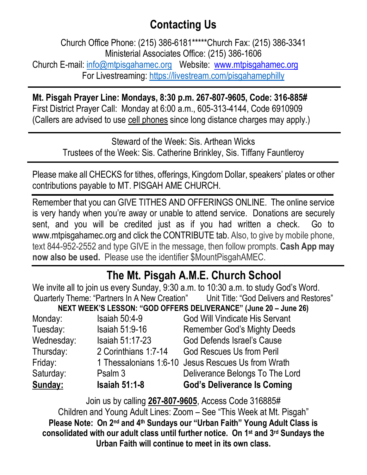# **Contacting Us**

Church Office Phone: (215) 386-6181\*\*\*\*\*Church Fax: (215) 386-3341 Ministerial Associates Office: (215) 386-1606 Church E-mail: [info@mtpisgahamec.org](mailto:info@mtpisgahamec.org) Website: www.mtpisgahamec.org For Livestreaming:<https://livestream.com/pisgahamephilly>

**Mt. Pisgah Prayer Line: Mondays, 8:30 p.m. 267-807-9605, Code: 316-885#** First District Prayer Call: Monday at 6:00 a.m., 605-313-4144, Code 6910909 (Callers are advised to use cell phones since long distance charges may apply.)

> Steward of the Week: Sis. Arthean Wicks Trustees of the Week: Sis. Catherine Brinkley, Sis. Tiffany Fauntleroy

Please make all CHECKS for tithes, offerings, Kingdom Dollar, speakers' plates or other contributions payable to MT. PISGAH AME CHURCH.

Remember that you can GIVE TITHES AND OFFERINGS ONLINE. The online service is very handy when you're away or unable to attend service. Donations are securely sent, and you will be credited just as if you had written a check. Go to www.mtpisgahamec.org and click the CONTRIBUTE tab. Also, to give by mobile phone, text 844-952-2552 and type GIVE in the message, then follow prompts. **Cash App may now also be used.** Please use the identifier \$MountPisgahAMEC.

# **The Mt. Pisgah A.M.E. Church School**

| We invite all to join us every Sunday, 9:30 a.m. to 10:30 a.m. to study God's Word. |                        |                                                                                       |  |
|-------------------------------------------------------------------------------------|------------------------|---------------------------------------------------------------------------------------|--|
|                                                                                     |                        | Quarterly Theme: "Partners In A New Creation" Unit Title: "God Delivers and Restores" |  |
| NEXT WEEK'S LESSON: "GOD OFFERS DELIVERANCE" (June 20 - June 26)                    |                        |                                                                                       |  |
| Monday:                                                                             | Isaiah $50:4-9$        | <b>God Will Vindicate His Servant</b>                                                 |  |
| Tuesday:                                                                            | <b>Isaiah 51:9-16</b>  | <b>Remember God's Mighty Deeds</b>                                                    |  |
| Wednesday:                                                                          | <b>Isaiah 51:17-23</b> | <b>God Defends Israel's Cause</b>                                                     |  |
| Thursday:                                                                           | 2 Corinthians 1:7-14   | <b>God Rescues Us from Peril</b>                                                      |  |
| Friday:                                                                             |                        | 1 Thessalonians 1:6-10 Jesus Rescues Us from Wrath                                    |  |
| Saturday:                                                                           | Psalm 3                | Deliverance Belongs To The Lord                                                       |  |
| Sunday:                                                                             | <b>Isaiah 51:1-8</b>   | <b>God's Deliverance Is Coming</b>                                                    |  |

Join us by calling **267-807-9605**, Access Code 316885# Children and Young Adult Lines: Zoom – See "This Week at Mt. Pisgah" **Please Note: On 2nd and 4th Sundays our "Urban Faith" Young Adult Class is consolidated with our adult class until further notice. On 1st and 3rd Sundays the Urban Faith will continue to meet in its own class.**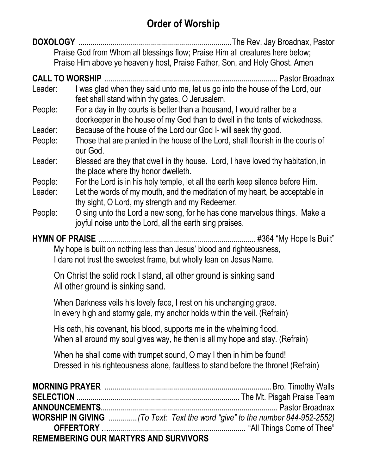## **Order of Worship**

**DOXOLOGY** ............................................................................The Rev. Jay Broadnax, Pastor Praise God from Whom all blessings flow; Praise Him all creatures here below; Praise Him above ye heavenly host, Praise Father, Son, and Holy Ghost. Amen

**CALL TO WORSHIP** ...................................................................................... Pastor Broadnax

- Leader: I was glad when they said unto me, let us go into the house of the Lord, our feet shall stand within thy gates, O Jerusalem.
- People: For a day in thy courts is better than a thousand, I would rather be a doorkeeper in the house of my God than to dwell in the tents of wickedness.
- Leader: Because of the house of the Lord our God I- will seek thy good.
- People: Those that are planted in the house of the Lord, shall flourish in the courts of our God.
- Leader: Blessed are they that dwell in thy house. Lord, I have loved thy habitation, in the place where thy honor dwelleth.
- People: For the Lord is in his holy temple, let all the earth keep silence before Him.
- Leader: Let the words of my mouth, and the meditation of my heart, be acceptable in thy sight, O Lord, my strength and my Redeemer.
- People: O sing unto the Lord a new song, for he has done marvelous things. Make a joyful noise unto the Lord, all the earth sing praises.

**HYMN OF PRAISE** .............................................................................. #364 "My Hope Is Built"

My hope is built on nothing less than Jesus' blood and righteousness, I dare not trust the sweetest frame, but wholly lean on Jesus Name.

On Christ the solid rock I stand, all other ground is sinking sand All other ground is sinking sand.

When Darkness veils his lovely face, I rest on his unchanging grace. In every high and stormy gale, my anchor holds within the veil. (Refrain)

His oath, his covenant, his blood, supports me in the whelming flood. When all around my soul gives way, he then is all my hope and stay. (Refrain)

When he shall come with trumpet sound, O may I then in him be found! Dressed in his righteousness alone, faultless to stand before the throne! (Refrain)

| <b>REMEMBERING OUR MARTYRS AND SURVIVORS</b> |  |
|----------------------------------------------|--|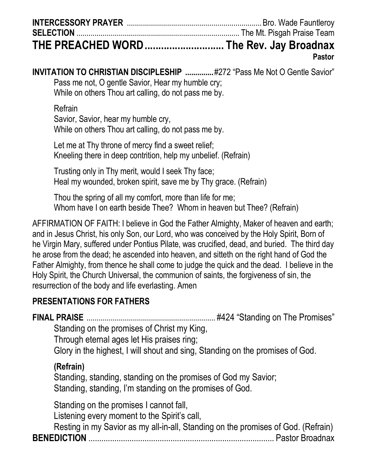| THE PREACHED WORD  The Rev. Jay Broadnax |  |
|------------------------------------------|--|

**Pastor**

**INVITATION TO CHRISTIAN DISCIPLESHIP ...............#272 "Pass Me Not O Gentle Savior"** Pass me not, O gentle Savior, Hear my humble cry; While on others Thou art calling, do not pass me by.

Refrain

Savior, Savior, hear my humble cry, While on others Thou art calling, do not pass me by.

Let me at Thy throne of mercy find a sweet relief; Kneeling there in deep contrition, help my unbelief. (Refrain)

Trusting only in Thy merit, would I seek Thy face; Heal my wounded, broken spirit, save me by Thy grace. (Refrain)

Thou the spring of all my comfort, more than life for me; Whom have I on earth beside Thee? Whom in heaven but Thee? (Refrain)

AFFIRMATION OF FAITH: I believe in God the Father Almighty, Maker of heaven and earth; and in Jesus Christ, his only Son, our Lord, who was conceived by the Holy Spirit, Born of he Virgin Mary, suffered under Pontius Pilate, was crucified, dead, and buried. The third day he arose from the dead; he ascended into heaven, and sitteth on the right hand of God the Father Almighty, from thence he shall come to judge the quick and the dead. I believe in the Holy Spirit, the Church Universal, the communion of saints, the forgiveness of sin, the resurrection of the body and life everlasting. Amen

### **PRESENTATIONS FOR FATHERS**

**FINAL PRAISE** ................................................................ #424 "Standing on The Promises"

Standing on the promises of Christ my King,

Through eternal ages let His praises ring;

Glory in the highest, I will shout and sing, Standing on the promises of God.

### **(Refrain)**

Standing, standing, standing on the promises of God my Savior; Standing, standing, I'm standing on the promises of God.

Standing on the promises I cannot fall,

Listening every moment to the Spirit's call,

Resting in my Savior as my all-in-all, Standing on the promises of God. (Refrain) **BENEDICTION** ...................................................................................... Pastor Broadnax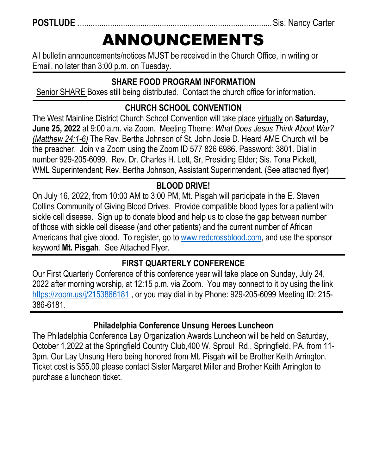**POSTLUDE** ..........................................................................................Sis. Nancy Carter

# ANNOUNCEMENTS

All bulletin announcements/notices MUST be received in the Church Office, in writing or Email, no later than 3:00 p.m. on Tuesday.

### **SHARE FOOD PROGRAM INFORMATION**

Senior SHARE Boxes still being distributed. Contact the church office for information.

## **CHURCH SCHOOL CONVENTION**

The West Mainline District Church School Convention will take place virtually on **Saturday, June 25, 2022** at 9:00 a.m. via Zoom. Meeting Theme: *What Does Jesus Think About War? (Matthew 24:1-6)* The Rev. Bertha Johnson of St. John Josie D. Heard AME Church will be the preacher. Join via Zoom using the Zoom ID 577 826 6986. Password: 3801. Dial in number 929-205-6099. Rev. Dr. Charles H. Lett, Sr, Presiding Elder; Sis. Tona Pickett, WML Superintendent; Rev. Bertha Johnson, Assistant Superintendent. (See attached flyer)

## **BLOOD DRIVE!**

On July 16, 2022, from 10:00 AM to 3:00 PM, Mt. Pisgah will participate in the E. Steven Collins Community of Giving Blood Drives. Provide compatible blood types for a patient with sickle cell disease. Sign up to donate blood and help us to close the gap between number of those with sickle cell disease (and other patients) and the current number of African Americans that give blood. To register, go to [www.redcrossblood.com,](http://www.redcrossblood.com/) and use the sponsor keyword **Mt. Pisgah**. See Attached Flyer.

### **FIRST QUARTERLY CONFERENCE**

Our First Quarterly Conference of this conference year will take place on Sunday, July 24, 2022 after morning worship, at 12:15 p.m. via Zoom. You may connect to it by using the link <https://zoom.us/j/2153866181> , or you may dial in by Phone: 929-205-6099 Meeting ID: 215- 386-6181.

### **Philadelphia Conference Unsung Heroes Luncheon**

The Philadelphia Conference Lay Organization Awards Luncheon will be held on Saturday, October 1,2022 at the Springfield Country Club,400 W. Sproul Rd., Springfield, PA. from 11- 3pm. Our Lay Unsung Hero being honored from Mt. Pisgah will be Brother Keith Arrington. Ticket cost is \$55.00 please contact Sister Margaret Miller and Brother Keith Arrington to purchase a luncheon ticket.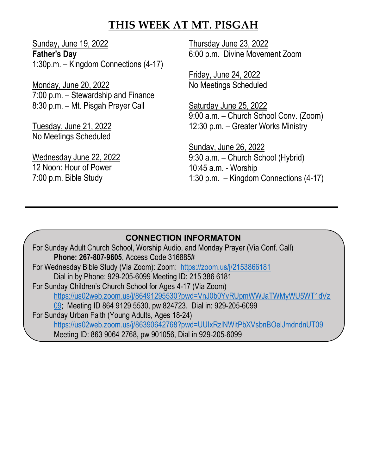### **THIS WEEK AT MT. PISGAH**

Sunday, June 19, 2022 **Father's Day** 1:30p.m. – Kingdom Connections (4-17)

Monday, June 20, 2022 7:00 p.m. – Stewardship and Finance 8:30 p.m. – Mt. Pisgah Prayer Call

Tuesday, June 21, 2022 No Meetings Scheduled

Wednesday June 22, 2022 12 Noon: Hour of Power 7:00 p.m. Bible Study

Thursday June 23, 2022 6:00 p.m. Divine Movement Zoom

Friday, June 24, 2022 No Meetings Scheduled

Saturday June 25, 2022 9:00 a.m. – Church School Conv. (Zoom) 12:30 p.m. – Greater Works Ministry

Sunday, June 26, 2022 9:30 a.m. – Church School (Hybrid) 10:45 a.m. - Worship 1:30 p.m. – Kingdom Connections (4-17)

### **CONNECTION INFORMATON**

For Sunday Adult Church School, Worship Audio, and Monday Prayer (Via Conf. Call) **Phone: 267-807-9605**, Access Code 316885# For Wednesday Bible Study (Via Zoom): Zoom: <https://zoom.us/j/2153866181> Dial in by Phone: 929-205-6099 Meeting ID: 215 386 6181 For Sunday Children's Church School for Ages 4-17 (Via Zoom) [https://us02web.zoom.us/j/86491295530?pwd=VnJ0b0YvRUpmWWJaTWMyWU5WT1dVz](https://us02web.zoom.us/j/86491295530?pwd=VnJ0b0YvRUpmWWJaTWMyWU5WT1dVz09) [09;](https://us02web.zoom.us/j/86491295530?pwd=VnJ0b0YvRUpmWWJaTWMyWU5WT1dVz09) Meeting ID 864 9129 5530, pw 824723. Dial in: 929-205-6099 For Sunday Urban Faith (Young Adults, Ages 18-24) <https://us02web.zoom.us/j/86390642768?pwd=UUIxRzlNWitPbXVsbnBOelJmdndnUT09> Meeting ID: 863 9064 2768, pw 901056, Dial in 929-205-6099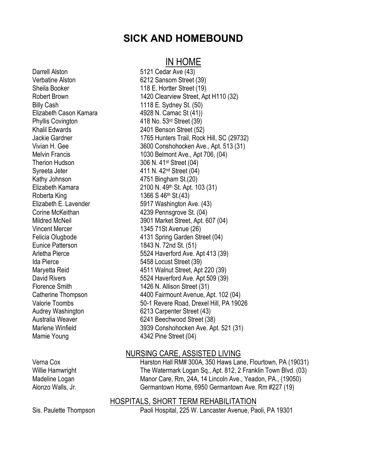### **SICK AND HOMEBOUND**

### IN HOME

Darrell Alston 5121 Cedar Ave (43) Verbatine Alston 6212 Sansom Street (39) Sheila Booker 118 E. Hortter Street (19) Billy Cash 1118 E. Sydney St. (50) Elizabeth Cason Kamara 4928 N. Camac St (41)) Phyllis Covington 418 No. 53rd Street (39) Khalil Edwards 2401 Benson Street (52) Therion Hudson 306 N. 41<sup>st</sup> Street (04) Syreeta Jeter 411 N. 42<sup>nd</sup> Street (04) Kathy Johnson 4751 Bingham St.(20) Roberta King 1366 S 46th St.(43) Vincent Mercer 1345 71St Avenue (26) Eunice Patterson 1843 N. 72nd St. (51) Ida Pierce 5458 Locust Street (39) Mamie Young 1342 Pine Street (04)

Robert Brown 1420 Clearview Street, Apt H110 (32) Jackie Gardner 1765 Hunters Trail, Rock Hill, SC (29732) Vivian H. Gee 3600 Conshohocken Ave., Apt. 513 (31) Melvin Francis 1030 Belmont Ave., Apt 706, (04) Elizabeth Kamara 2100 N. 49th St. Apt. 103 (31) Elizabeth E. Lavender 5917 Washington Ave. (43) Corine McKeithan **4239 Pennsgrove St.** (04) Mildred McNeil 3901 Market Street, Apt. 607 (04) Felicia Olugbode 4131 Spring Garden Street (04) Arletha Pierce 5524 Haverford Ave. Apt 413 (39) Maryetta Reid 4511 Walnut Street, Apt 220 (39) David Rivers **1988** S524 Haverford Ave. Apt 509 (39) Florence Smith 1426 N. Allison Street (31) Catherine Thompson 4400 Fairmount Avenue, Apt. 102 (04) Valorie Toombs 50-1 Revere Road, Drexel Hill, PA 19026 Audrey Washington 6213 Carpenter Street (43) Australia Weaver 6241 Beechwood Street (38) Marlene Winfield 3939 Conshohocken Ave. Apt. 521 (31)

### NURSING CARE, ASSISTED LIVING

Verna Cox **Harston Hall RM# 300A, 350 Haws Lane, Flourtown, PA (19031)** Willie Hamwright The Watermark Logan Sq., Apt. 812, 2 Franklin Town Blvd. (03) Madeline Logan Manor Care, Rm, 24A, 14 Lincoln Ave., Yeadon, PA., (19050) Alonzo Walls, Jr. Germantown Home, 6950 Germantown Ave. Rm #227 (19)

### HOSPITALS, SHORT TERM REHABILITATION

Sis. Paulette Thompson Paoli Hospital, 225 W. Lancaster Avenue, Paoli, PA 19301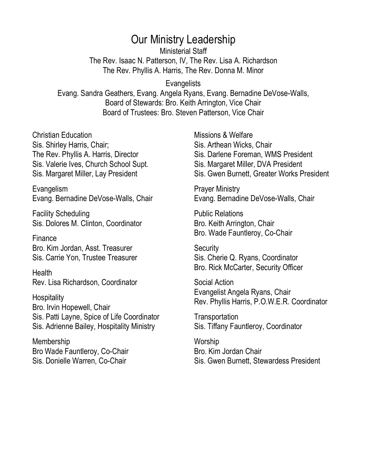### Our Ministry Leadership

Ministerial Staff The Rev. Isaac N. Patterson, IV, The Rev. Lisa A. Richardson The Rev. Phyllis A. Harris, The Rev. Donna M. Minor

**Evangelists** 

Evang. Sandra Geathers, Evang. Angela Ryans, Evang. Bernadine DeVose-Walls, Board of Stewards: Bro. Keith Arrington, Vice Chair Board of Trustees: Bro. Steven Patterson, Vice Chair

Christian Education Sis. Shirley Harris, Chair; The Rev. Phyllis A. Harris, Director Sis. Valerie Ives, Church School Supt. Sis. Margaret Miller, Lay President

Evangelism Evang. Bernadine DeVose-Walls, Chair

Facility Scheduling Sis. Dolores M. Clinton, Coordinator

Finance Bro. Kim Jordan, Asst. Treasurer Sis. Carrie Yon, Trustee Treasurer

**Health** Rev. Lisa Richardson, Coordinator

**Hospitality** Bro. Irvin Hopewell, Chair Sis. Patti Layne, Spice of Life Coordinator Sis. Adrienne Bailey, Hospitality Ministry

Membership Bro Wade Fauntleroy, Co-Chair Sis. Donielle Warren, Co-Chair

Missions & Welfare Sis. Arthean Wicks, Chair Sis. Darlene Foreman, WMS President Sis. Margaret Miller, DVA President Sis. Gwen Burnett, Greater Works President

Prayer Ministry Evang. Bernadine DeVose-Walls, Chair

Public Relations Bro. Keith Arrington, Chair Bro. Wade Fauntleroy, Co-Chair

**Security** Sis. Cherie Q. Ryans, Coordinator Bro. Rick McCarter, Security Officer

Social Action Evangelist Angela Ryans, Chair Rev. Phyllis Harris, P.O.W.E.R. Coordinator

**Transportation** Sis. Tiffany Fauntleroy, Coordinator

**Worship** Bro. Kim Jordan Chair Sis. Gwen Burnett, Stewardess President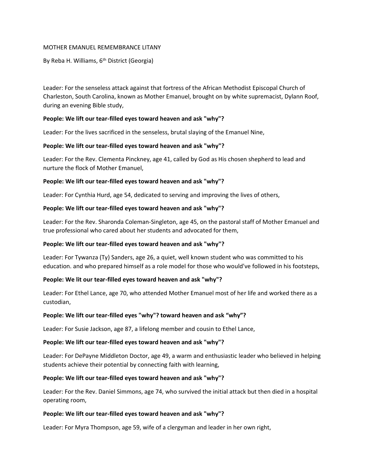#### MOTHER EMANUEL REMEMBRANCE LITANY

#### By Reba H. Williams, 6<sup>th</sup> District (Georgia)

Leader: For the senseless attack against that fortress of the African Methodist Episcopal Church of Charleston, South Carolina, known as Mother Emanuel, brought on by white supremacist, Dylann Roof, during an evening Bible study,

#### **People: We lift our tear-filled eyes toward heaven and ask "why"?**

Leader: For the lives sacrificed in the senseless, brutal slaying of the Emanuel Nine,

#### **People: We lift our tear-filled eyes toward heaven and ask "why"?**

Leader: For the Rev. Clementa Pinckney, age 41, called by God as His chosen shepherd to lead and nurture the flock of Mother Emanuel,

#### **People: We lift our tear-filled eyes toward heaven and ask "why"?**

Leader: For Cynthia Hurd, age 54, dedicated to serving and improving the lives of others,

#### **People: We lift our tear-filled eyes toward heaven and ask "why"?**

Leader: For the Rev. Sharonda Coleman-Singleton, age 45, on the pastoral staff of Mother Emanuel and true professional who cared about her students and advocated for them,

#### **People: We lift our tear-filled eyes toward heaven and ask "why"?**

Leader: For Tywanza (Ty) Sanders, age 26, a quiet, well known student who was committed to his education. and who prepared himself as a role model for those who would've followed in his footsteps,

#### **People: We lit our tear-filled eyes toward heaven and ask "why"?**

Leader: For Ethel Lance, age 70, who attended Mother Emanuel most of her life and worked there as a custodian,

#### **People: We lift our tear-filled eyes "why"? toward heaven and ask "why"?**

Leader: For Susie Jackson, age 87, a lifelong member and cousin to Ethel Lance,

#### **People: We lift our tear-filled eyes toward heaven and ask "why"?**

Leader: For DePayne Middleton Doctor, age 49, a warm and enthusiastic leader who believed in helping students achieve their potential by connecting faith with learning,

#### **People: We lift our tear-filled eyes toward heaven and ask "why"?**

Leader: For the Rev. Daniel Simmons, age 74, who survived the initial attack but then died in a hospital operating room,

#### **People: We lift our tear-filled eyes toward heaven and ask "why"?**

Leader: For Myra Thompson, age 59, wife of a clergyman and leader in her own right,